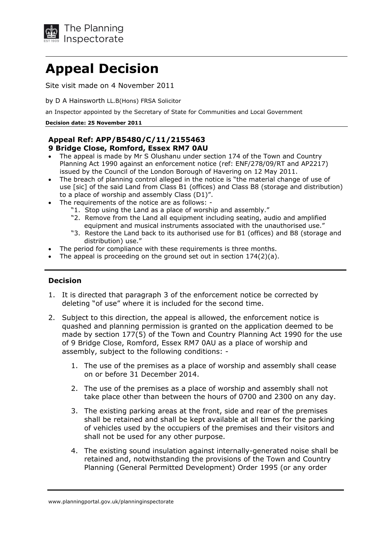

# **Appeal Decision**

Site visit made on 4 November 2011

by D A Hainsworth LL.B(Hons) FRSA Solicitor

an Inspector appointed by the Secretary of State for Communities and Local Government

#### **ecision date: 25 November 2011**

### **Appeal Ref: APP/B5480/C/11/2155463 9 Bridge Close, Romford, Essex RM7 0AU**

- The appeal is made by Mr S Olushanu under section 174 of the Town and Country Planning Act 1990 against an enforcement notice (ref: ENF/278/09/RT and AP2217) issued by the Council of the London Borough of Havering on 12 May 2011.
- The breach of planning control alleged in the notice is "the material change of use of use [sic] of the said Land from Class B1 (offices) and Class B8 (storage and distribution) to a place of worship and assembly Class  $(D1)$ ".
- The requirements of the notice are as follows: -
	- "1. Stop using the Land as a place of worship and assembly."
	- "2. Remove from the Land all equipment including seating, audio and amplified equipment and musical instruments associated with the unauthorised use."
	- "3. Restore the Land back to its authorised use for B1 (offices) and B8 (storage and distribution) use."
- The period for compliance with these requirements is three months.
- The appeal is proceeding on the ground set out in section  $174(2)(a)$ .

### **ecision**

- 1. It is directed that paragraph 3 of the enforcement notice be corrected by deleting "of use" where it is included for the second time.
- 2. Subject to this direction, the appeal is allowed, the enforcement notice is quashed and planning permission is granted on the application deemed to be made by section 177(5) of the Town and Country Planning Act 1990 for the use of 9 Bridge Close, Romford, Essex RM7 0AU as a place of worship and assembly, subject to the following conditions: -
	- 1. The use of the premises as a place of worship and assembly shall cease on or before 31 December 2014.
	- take place other than between the hours of 0700 and 2300 on any day. 2. The use of the premises as a place of worship and assembly shall not
	- 3. The existing parking areas at the front, side and rear of the premises shall be retained and shall be kept available at all times for the parking of vehicles used by the occupiers of the premises and their visitors and shall not be used for any other purpose.
	- 4. The existing sound insulation against internally-generated noise shall be retained and, notwithstanding the provisions of the Town and Country Planning (General Permitted Development) Order 1995 (or any order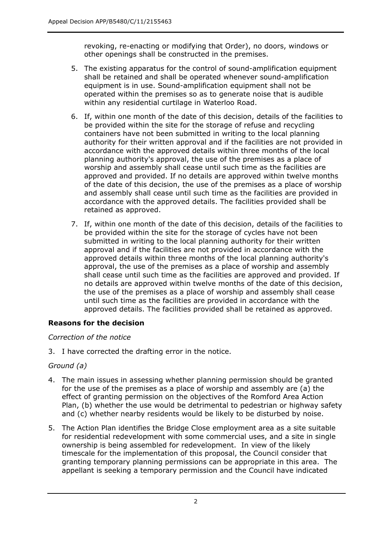revoking, re-enacting or modifying that Order), no doors, windows or other openings shall be constructed in the premises.

- 5. The existing apparatus for the control of sound-amplification equipment shall be retained and shall be operated whenever sound-amplification equipment is in use. Sound-amplification equipment shall not be operated within the premises so as to generate noise that is audible within any residential curtilage in Waterloo Road.
- 6. If, within one month of the date of this decision, details of the facilities to be provided within the site for the storage of refuse and recycling containers have not been submitted in writing to the local planning authority for their written approval and if the facilities are not provided in accordance with the approved details within three months of the local planning authority's approval, the use of the premises as a place of worship and assembly shall cease until such time as the facilities are approved and provided. If no details are approved within twelve months of the date of this decision, the use of the premises as a place of worship and assembly shall cease until such time as the facilities are provided in accordance with the approved details. The facilities provided shall be retained as approved.
- 7. If, within one month of the date of this decision, details of the facilities to be provided within the site for the storage of cycles have not been submitted in writing to the local planning authority for their written approval and if the facilities are not provided in accordance with the approved details within three months of the local planning authority's approval, the use of the premises as a place of worship and assembly shall cease until such time as the facilities are approved and provided. If no details are approved within twelve months of the date of this decision, the use of the premises as a place of worship and assembly shall cease until such time as the facilities are provided in accordance with the approved details. The facilities provided shall be retained as approved.

## **Reasons for the decision**

## *Correct on of the not ce*

3. I have corrected the drafting error in the notice.

## *Ground (a)*

- 4. The main issues in assessing whether planning permission should be granted for the use of the premises as a place of worship and assembly are (a) the effect of granting permission on the objectives of the Romford Area Action Plan, (b) whether the use would be detrimental to pedestrian or highway safety and (c) whether nearby residents would be likely to be disturbed by noise.
- 5. The Action Plan identifies the Bridge Close employment area as a site suitable for residential redevelopment with some commercial uses, and a site in single ownership is being assembled for redevelopment. In view of the likely timescale for the implementation of this proposal, the Council consider that granting temporary planning permissions can be appropriate in this area. The appellant is seeking a temporary permission and the Council have indicated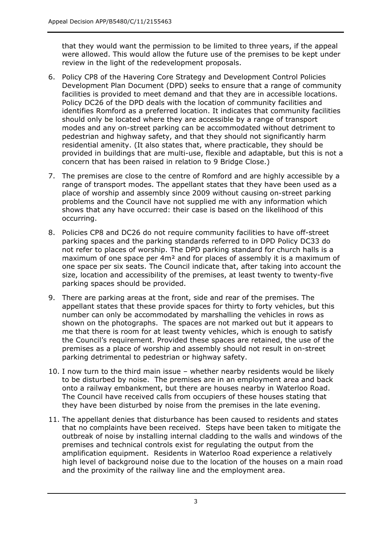that they would want the permission to be limited to three years, if the appeal were allowed. This would allow the future use of the premises to be kept under review in the light of the redevelopment proposals.

- 6. Policy CP8 of the Havering Core Strategy and Development Control Policies Development Plan Document (DPD) seeks to ensure that a range of community facilities is provided to meet demand and that they are in accessible locations. Policy DC26 of the DPD deals with the location of community facilities and identifies Romford as a preferred location. It indicates that community facilities should only be located where they are accessible by a range of transport modes and any on-street parking can be accommodated without detriment to pedestrian and highway safety, and that they should not significantly harm residential amenity. (It also states that, where practicable, they should be provided in buildings that are multi-use, flexible and adaptable, but this is not a concern that has been raised in relation to 9 Bridge Close.)
- 7. The premises are close to the centre of Romford and are highly accessible by a range of transport modes. The appellant states that they have been used as a place of worship and assembly since 2009 without causing on-street parking problems and the Council have not supplied me with any information which shows that any have occurred: their case is based on the likelihood of this occurring.
- 8. Policies CP8 and DC26 do not require community facilities to have off-street parking spaces and the parking standards referred to in DPD Policy DC33 do not refer to places of worship. The DPD parking standard for church halls is a maximum of one space per 4m<sup>2</sup> and for places of assembly it is a maximum of one space per six seats. The Council indicate that, after taking into account the size, location and accessibility of the premises, at least twenty to twenty-five parking spaces should be provided.
- 9. There are parking areas at the front, side and rear of the premises. The appellant states that these provide spaces for thirty to forty vehicles, but this number can only be accommodated by marshalling the vehicles in rows as shown on the photographs. The spaces are not marked out but it appears to me that there is room for at least twenty vehicles, which is enough to satisfy the Council's requirement. Provided these spaces are retained, the use of the premises as a place of worship and assembly should not result in on-street parking detrimental to pedestrian or highway safety.
- 10. I now turn to the third main issue whether nearby residents would be likely to be disturbed by noise. The premises are in an employment area and back onto a railway embankment, but there are houses nearby in Waterloo Road. The Council have received calls from occupiers of these houses stating that they have been disturbed by noise from the premises in the late evening.
- 11. The appellant denies that disturbance has been caused to residents and states that no complaints have been received. Steps have been taken to mitigate the outbreak of noise by installing internal cladding to the walls and windows of the premises and technical controls exist for regulating the output from the amplification equipment. Residents in Waterloo Road experience a relatively high level of background noise due to the location of the houses on a main road and the proximity of the railway line and the employment area.